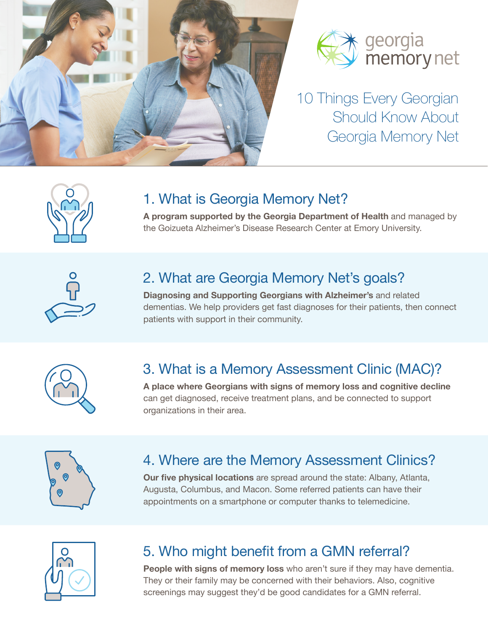



10 Things Every Georgian Should Know About Georgia Memory Net



## 1. What is Georgia Memory Net?

**A program supported by the Georgia Department of Health** and managed by the Goizueta Alzheimer's Disease Research Center at Emory University.



# 2. What are Georgia Memory Net's goals?

**Diagnosing and Supporting Georgians with Alzheimer's** and related dementias. We help providers get fast diagnoses for their patients, then connect patients with support in their community.



#### 3. What is a Memory Assessment Clinic (MAC)?

**A place where Georgians with signs of memory loss and cognitive decline** can get diagnosed, receive treatment plans, and be connected to support organizations in their area.



# 4. Where are the Memory Assessment Clinics?

**Our five physical locations** are spread around the state: Albany, Atlanta, Augusta, Columbus, and Macon. Some referred patients can have their appointments on a smartphone or computer thanks to telemedicine.



# 5. Who might benefit from a GMN referral?

**People with signs of memory loss** who aren't sure if they may have dementia. They or their family may be concerned with their behaviors. Also, cognitive screenings may suggest they'd be good candidates for a GMN referral.